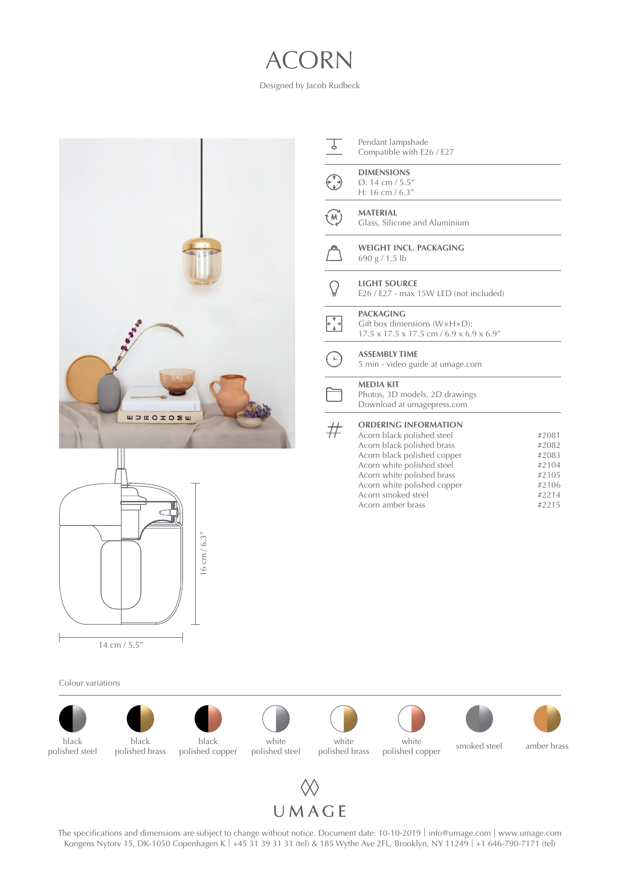## ACORN

Designed by Jacob Rudbeck





Colour variations





The specifications and dimensions are subject to change without notice. Document date: 10-10-2019 | info[@umage.com](mailto:info%40umage.com?subject=) | www[.umage.com](https://www.umage.com/) Kongens Nytorv 15, DK-1050 Copenhagen K | +45 31 39 31 31 (tel) & 185 Wythe Ave 2FL, Brooklyn, NY 11249 | +1 646-790-7171 (tel)

Pendant lampshade Compatible with E26 / E27 **DIMENSIONS**

 $\begin{pmatrix} 1 \\ -1 \end{pmatrix}$ Ø: 14 cm / 5.5" H: 16 cm / 6.3"

#### **MATERIAL** (м) Glass, Silicone and Aluminium

- **WEIGHT INCL. PACKAGING**
- 690 g / 1.5 lb

### **LIGHT SOURCE**

E26 / E27 - max 15W LED (not included)

#### **PACKAGING**  $\begin{array}{ccc} & & \\ \leftarrow & & \\ \leftarrow & & \\ \end{array}$

Gift box dimensions (W×H×D): 17.5 x 17.5 x 17.5 cm / 6.9 x 6.9 x 6.9"

#### **ASSEMBLY TIME**

5 min - video guide at umage[.c](https://www.umage.com/pages/instructions)om

#### **MEDIA KIT**

Photos, 3D models, 2D drawings Download at [umagepress.com](http://umagepress.com)

#### $#$ **ORDERING INFORMATION**

Acorn black polished steel Acorn black polished brass Acorn black polished copper Acorn white polished steel Acorn white polished brass Acorn white polished copper Acorn smoked steel Acorn amber brass #2081 #2082 #2083 #2104 #2105 #2106 #2214 #2215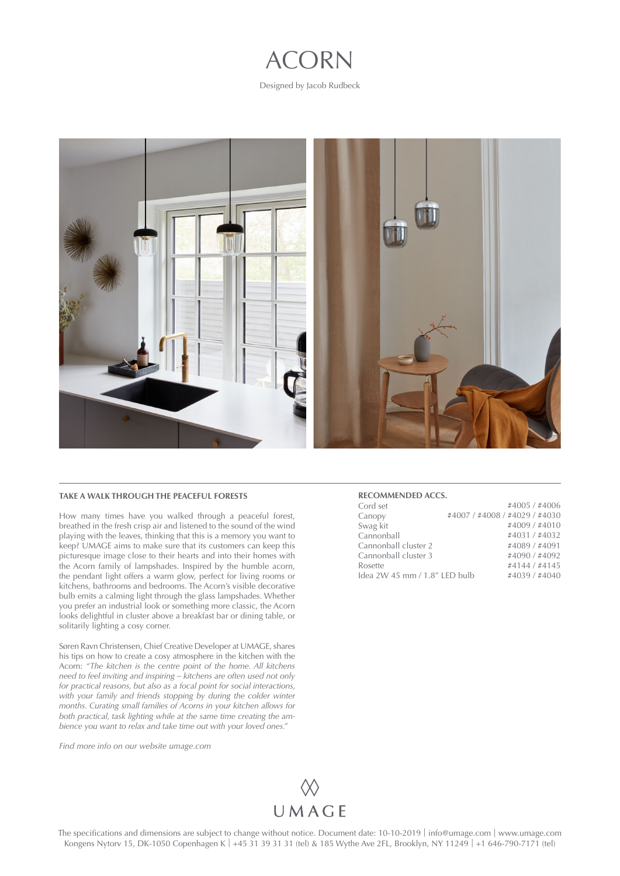# ACORN

Designed by Jacob Rudbeck



#### **TAKE A WALK THROUGH THE PEACEFUL FORESTS**

How many times have you walked through a peaceful forest, breathed in the fresh crisp air and listened to the sound of the wind playing with the leaves, thinking that this is a memory you want to keep? UMAGE aims to make sure that its customers can keep this picturesque image close to their hearts and into their homes with the Acorn family of lampshades. Inspired by the humble acorn, the pendant light offers a warm glow, perfect for living rooms or kitchens, bathrooms and bedrooms. The Acorn's visible decorative bulb emits a calming light through the glass lampshades. Whether you prefer an industrial look or something more classic, the Acorn looks delightful in cluster above a breakfast bar or dining table, or solitarily lighting a cosy corner.

Søren Ravn Christensen, Chief Creative Developer at UMAGE, shares his tips on how to create a cosy atmosphere in the kitchen with the Acorn: *"The kitchen is the centre point of the home. All kitchens need to feel inviting and inspiring – kitchens are often used not only for practical reasons, but also as a focal point for social interactions,*  with your family and friends stopping by during the colder winter *months. Curating small families of Acorns in your kitchen allows for both practical, task lighting while at the same time creating the ambience you want to relax and take time out with your loved ones."*

*Find more info on our website [umage.com](http://umage.com)*



**RECOMMENDED ACCS.**

| Cord set                      |                               | #4005 / #4006 |  |
|-------------------------------|-------------------------------|---------------|--|
| Canopy                        | #4007 / #4008 / #4029 / #4030 |               |  |
| Swag kit                      |                               | #4009 / #4010 |  |
| Cannonball                    |                               | #4031 / #4032 |  |
| Cannonball cluster 2          |                               | #4089 / #4091 |  |
| Cannonball cluster 3          |                               | #4090 / #4092 |  |
| Rosette                       |                               | #4144 / #4145 |  |
| Idea 2W 45 mm / 1.8" LED bulb |                               | #4039 / #4040 |  |
|                               |                               |               |  |

The specifications and dimensions are subject to change without notice. Document date: 10-10-2019 | info[@umage.com](mailto:info%40umage.com?subject=) | www[.umage.com](https://www.umage.com/) Kongens Nytorv 15, DK-1050 Copenhagen K | +45 31 39 31 31 (tel) & 185 Wythe Ave 2FL, Brooklyn, NY 11249 | +1 646-790-7171 (tel)